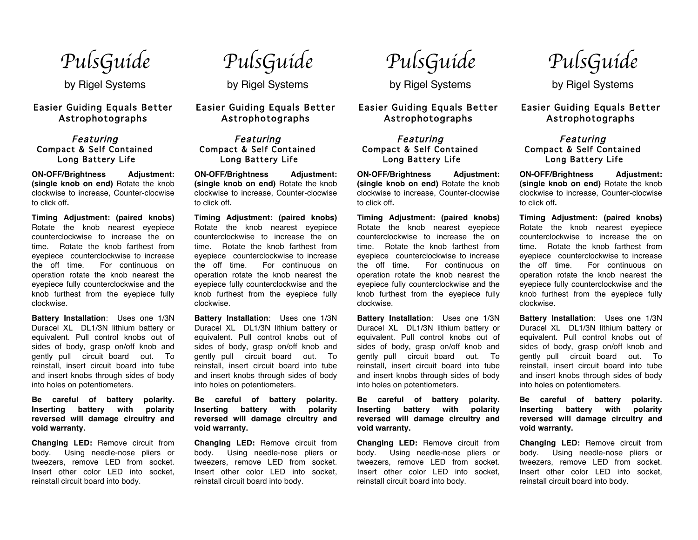*PulsGuide* 

by Rigel Systems

## Easier Guiding Equals Better Astrophotographs

#### Featuring Compact & Self Contained Long Battery Life

**ON-OFF/Brightness Adjustment: (single knob on end)** Rotate the knob clockwise to increase, Counter-clocwise to click off**.**

**Timing Adjustment: (paired knobs)**  Rotate the knob nearest eyepiece counterclockwise to increase the on time. Rotate the knob farthest from eyepiece counterclockwise to increase the off time. For continuous on operation rotate the knob nearest the eyepiece fully counterclockwise and the knob furthest from the eyepiece fully clockwise.

**Battery Installation**: Uses one 1/3N Duracel XL DL1/3N lithium battery or equivalent. Pull control knobs out of sides of body, grasp on/off knob and gently pull circuit board out. To reinstall, insert circuit board into tube and insert knobs through sides of body into holes on potentiometers.

**Be careful of battery polarity. Inserting battery with polarity reversed will damage circuitry and void warranty.**

**Changing LED:** Remove circuit from body. Using needle-nose pliers or tweezers, remove LED from socket. Insert other color LED into socket, reinstall circuit board into body.

*PulsGuide* 

by Rigel Systems

## Easier Guiding Equals Better Astrophotographs

#### Featuring Compact & Self Contained Long Battery Life

**ON-OFF/Brightness Adjustment: (single knob on end)** Rotate the knob clockwise to increase, Counter-clocwise to click off**.**

**Timing Adjustment: (paired knobs)**  Rotate the knob nearest eyepiece counterclockwise to increase the on time. Rotate the knob farthest from eyepiece counterclockwise to increase the off time. For continuous on operation rotate the knob nearest the eyepiece fully counterclockwise and the knob furthest from the eyepiece fully clockwise.

**Battery Installation**: Uses one 1/3N Duracel XL DL1/3N lithium battery or equivalent. Pull control knobs out of sides of body, grasp on/off knob and gently pull circuit board out. To reinstall, insert circuit board into tube and insert knobs through sides of body into holes on potentiometers.

**Be careful of battery polarity. Inserting battery with polarity reversed will damage circuitry and void warranty.**

**Changing LED:** Remove circuit from body. Using needle-nose pliers or tweezers, remove LED from socket. Insert other color LED into socket, reinstall circuit board into body.

*PulsGuide* 

by Rigel Systems

Easier Guiding Equals Better Astrophotographs

### Featuring Compact & Self Contained Long Battery Life

**ON-OFF/Brightness Adjustment: (single knob on end)** Rotate the knob clockwise to increase, Counter-clocwise to click off**.**

**Timing Adjustment: (paired knobs)**  Rotate the knob nearest eyepiece counterclockwise to increase the on time. Rotate the knob farthest from eyepiece counterclockwise to increase the off time. For continuous on operation rotate the knob nearest the eyepiece fully counterclockwise and the knob furthest from the eyepiece fully clockwise.

**Battery Installation**: Uses one 1/3N Duracel XL DL1/3N lithium battery or equivalent. Pull control knobs out of sides of body, grasp on/off knob and gently pull circuit board out. To reinstall, insert circuit board into tube and insert knobs through sides of body into holes on potentiometers.

**Be careful of battery polarity. Inserting battery with polarity reversed will damage circuitry and void warranty.**

**Changing LED:** Remove circuit from body. Using needle-nose pliers or tweezers, remove LED from socket. Insert other color LED into socket, reinstall circuit board into body.

*PulsGuide* 

by Rigel Systems

# Easier Guiding Equals Better Astrophotographs

### Featuring Compact & Self Contained Long Battery Life

**ON-OFF/Brightness Adjustment: (single knob on end)** Rotate the knob clockwise to increase, Counter-clocwise to click off**.**

**Timing Adjustment: (paired knobs)**  Rotate the knob nearest eyepiece counterclockwise to increase the on time. Rotate the knob farthest from eyepiece counterclockwise to increase the off time. For continuous on operation rotate the knob nearest the eyepiece fully counterclockwise and the knob furthest from the eyepiece fully clockwise.

**Battery Installation**: Uses one 1/3N Duracel XL DL1/3N lithium battery or equivalent. Pull control knobs out of sides of body, grasp on/off knob and gently pull circuit board out. To reinstall, insert circuit board into tube and insert knobs through sides of body into holes on potentiometers.

**Be careful of battery polarity. Inserting battery with polarity reversed will damage circuitry and void warranty.**

**Changing LED:** Remove circuit from body. Using needle-nose pliers or tweezers, remove LED from socket. Insert other color LED into socket, reinstall circuit board into body.